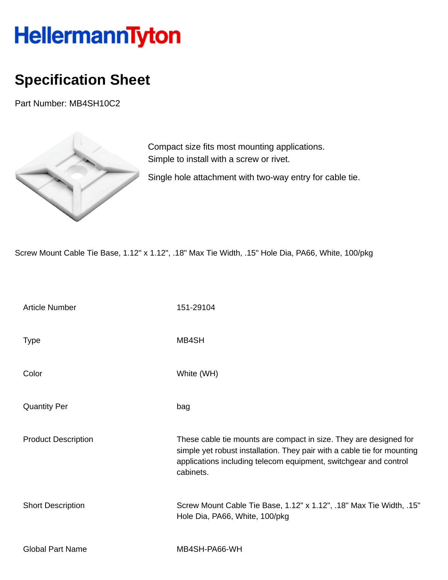## HellermannTyton

## **Specification Sheet**

Part Number: MB4SH10C2



Compact size fits most mounting applications. Simple to install with a screw or rivet.

Single hole attachment with two-way entry for cable tie.

Screw Mount Cable Tie Base, 1.12" x 1.12", .18" Max Tie Width, .15" Hole Dia, PA66, White, 100/pkg

| <b>Article Number</b>      | 151-29104                                                                                                                                                                                                                     |
|----------------------------|-------------------------------------------------------------------------------------------------------------------------------------------------------------------------------------------------------------------------------|
| <b>Type</b>                | MB4SH                                                                                                                                                                                                                         |
| Color                      | White (WH)                                                                                                                                                                                                                    |
| <b>Quantity Per</b>        | bag                                                                                                                                                                                                                           |
| <b>Product Description</b> | These cable tie mounts are compact in size. They are designed for<br>simple yet robust installation. They pair with a cable tie for mounting<br>applications including telecom equipment, switchgear and control<br>cabinets. |
| <b>Short Description</b>   | Screw Mount Cable Tie Base, 1.12" x 1.12", .18" Max Tie Width, .15"<br>Hole Dia, PA66, White, 100/pkg                                                                                                                         |
| <b>Global Part Name</b>    | MB4SH-PA66-WH                                                                                                                                                                                                                 |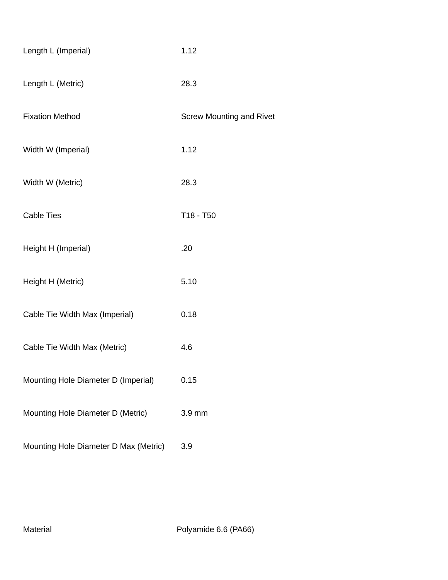| Length L (Imperial)                   | 1.12                            |
|---------------------------------------|---------------------------------|
| Length L (Metric)                     | 28.3                            |
| <b>Fixation Method</b>                | <b>Screw Mounting and Rivet</b> |
| Width W (Imperial)                    | 1.12                            |
| Width W (Metric)                      | 28.3                            |
| <b>Cable Ties</b>                     | T18 - T50                       |
| Height H (Imperial)                   | .20                             |
| Height H (Metric)                     | 5.10                            |
| Cable Tie Width Max (Imperial)        | 0.18                            |
| Cable Tie Width Max (Metric)          | 4.6                             |
| Mounting Hole Diameter D (Imperial)   | 0.15                            |
| Mounting Hole Diameter D (Metric)     | 3.9 mm                          |
| Mounting Hole Diameter D Max (Metric) | 3.9                             |